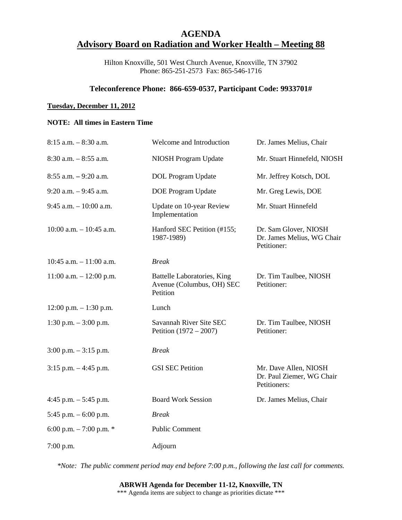# **AGENDA Advisory Board on Radiation and Worker Health – Meeting 88**

Hilton Knoxville, 501 West Church Avenue, Knoxville, TN 37902 Phone: 865-251-2573 Fax: 865-546-1716

### **Teleconference Phone: 866-659-0537, Participant Code: 9933701#**

#### **Tuesday, December 11, 2012**

### **NOTE: All times in Eastern Time**

| $8:15$ a.m. $-8:30$ a.m.    | Welcome and Introduction                                             | Dr. James Melius, Chair                                            |
|-----------------------------|----------------------------------------------------------------------|--------------------------------------------------------------------|
| $8:30$ a.m. $-8:55$ a.m.    | NIOSH Program Update                                                 | Mr. Stuart Hinnefeld, NIOSH                                        |
| $8:55$ a.m. $-9:20$ a.m.    | <b>DOL</b> Program Update                                            | Mr. Jeffrey Kotsch, DOL                                            |
| $9:20$ a.m. $-9:45$ a.m.    | <b>DOE Program Update</b>                                            | Mr. Greg Lewis, DOE                                                |
| $9:45$ a.m. $-10:00$ a.m.   | Update on 10-year Review<br>Implementation                           | Mr. Stuart Hinnefeld                                               |
| $10:00$ a.m. $-10:45$ a.m.  | Hanford SEC Petition (#155;<br>1987-1989)                            | Dr. Sam Glover, NIOSH<br>Dr. James Melius, WG Chair<br>Petitioner: |
| $10:45$ a.m. $-11:00$ a.m.  | <b>Break</b>                                                         |                                                                    |
| $11:00$ a.m. $- 12:00$ p.m. | Battelle Laboratories, King<br>Avenue (Columbus, OH) SEC<br>Petition | Dr. Tim Taulbee, NIOSH<br>Petitioner:                              |
| $12:00$ p.m. $-1:30$ p.m.   | Lunch                                                                |                                                                    |
| 1:30 p.m. $-3:00$ p.m.      | Savannah River Site SEC<br>Petition $(1972 - 2007)$                  | Dr. Tim Taulbee, NIOSH<br>Petitioner:                              |
| $3:00$ p.m. $-3:15$ p.m.    | <b>Break</b>                                                         |                                                                    |
| $3:15$ p.m. $-4:45$ p.m.    | <b>GSI SEC Petition</b>                                              | Mr. Dave Allen, NIOSH<br>Dr. Paul Ziemer, WG Chair<br>Petitioners: |
| 4:45 p.m. $-$ 5:45 p.m.     | <b>Board Work Session</b>                                            | Dr. James Melius, Chair                                            |
| 5:45 p.m. $-6:00$ p.m.      | <b>Break</b>                                                         |                                                                    |
| 6:00 p.m. $-7:00$ p.m. $*$  | <b>Public Comment</b>                                                |                                                                    |
| $7:00$ p.m.                 | Adjourn                                                              |                                                                    |

*\*Note: The public comment period may end before 7:00 p.m., following the last call for comments.*